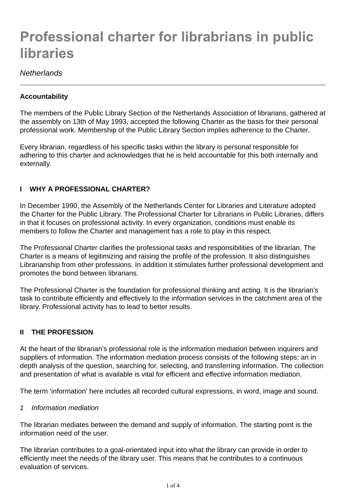# **Professional charter for librabrians in public libraries**

# *Netherlands*

## **Accountability**

The members of the Public Library Section of the Netherlands Association of librarians, gathered at the assembly on 13th of May 1993, accepted the following Charter as the basis for their personal professional work. Membership of the Public Library Section implies adherence to the Charter.

Every librarian, regardless of his specific tasks within the library is personal responsible for adhering to this charter and acknowledges that he is held accountable for this both internally and externally.

## **I WHY A PROFESSIONAL CHARTER?**

In December 1990, the Assembly of the Netherlands Center for Libraries and Literature adopted the Charter for the Public Library. The Professional Charter for Librarians in Public Libraries, differs in that it focuses on professional activity. In every organization, conditions must enable its members to follow the Charter and management has a role to play in this respect.

The Professional Charter clarifies the professional tasks and responsibilities of the librarian. The Charter is a means of legitimizing and raising the profile of the profession. It also distinguishes Librarianship from other professions. In addition it stimulates further professional development and promotes the bond between librarians.

The Professional Charter is the foundation for professional thinking and acting. It is the librarian's task to contribute efficiently and effectively to the information services in the catchment area of the library. Professional activity has to lead to better results.

## **II THE PROFESSION**

At the heart of the librarian's professional role is the information mediation between inquirers and suppliers of information. The information mediation process consists of the following steps: an in depth analysis of the question, searching for, selecting, and transferring information. The collection and presentation of what is available is vital for efficient and effective information mediation.

The term 'information' here includes all recorded cultural expressions, in word, image and sound.

#### *1 Information mediation*

The librarian mediates between the demand and supply of information. The starting point is the information need of the user.

The librarian contributes to a goal-orientated input into what the library can provide in order to efficiently meet the needs of the library user. This means that he contributes to a continuous evaluation of services.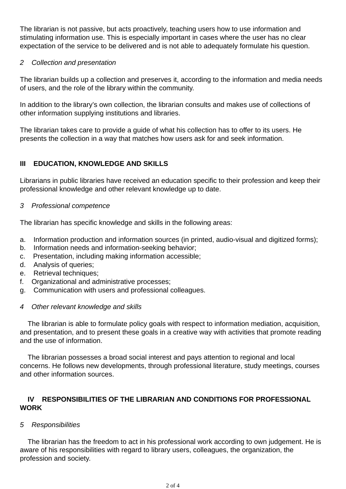The librarian is not passive, but acts proactively, teaching users how to use information and stimulating information use. This is especially important in cases where the user has no clear expectation of the service to be delivered and is not able to adequately formulate his question.

#### *2 Collection and presentation*

The librarian builds up a collection and preserves it, according to the information and media needs of users, and the role of the library within the community.

In addition to the library's own collection, the librarian consults and makes use of collections of other information supplying institutions and libraries.

The librarian takes care to provide a guide of what his collection has to offer to its users. He presents the collection in a way that matches how users ask for and seek information.

# **III EDUCATION, KNOWLEDGE AND SKILLS**

Librarians in public libraries have received an education specific to their profession and keep their professional knowledge and other relevant knowledge up to date.

*3 Professional competence*

The librarian has specific knowledge and skills in the following areas:

- a. Information production and information sources (in printed, audio-visual and digitized forms);
- b. Information needs and information-seeking behavior;
- c. Presentation, including making information accessible;
- d. Analysis of queries;
- e. Retrieval techniques;
- f. Organizational and administrative processes;
- g. Communication with users and professional colleagues.

## *4 Other relevant knowledge and skills*

 The librarian is able to formulate policy goals with respect to information mediation, acquisition, and presentation, and to present these goals in a creative way with activities that promote reading and the use of information.

 The librarian possesses a broad social interest and pays attention to regional and local concerns. He follows new developments, through professional literature, study meetings, courses and other information sources.

## **IV RESPONSIBILITIES OF THE LIBRARIAN AND CONDITIONS FOR PROFESSIONAL WORK**

## *5 Responsibilities*

 The librarian has the freedom to act in his professional work according to own judgement. He is aware of his responsibilities with regard to library users, colleagues, the organization, the profession and society.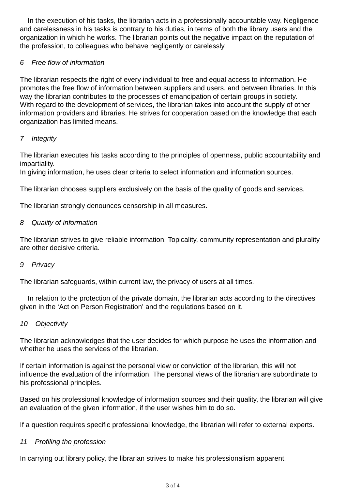In the execution of his tasks, the librarian acts in a professionally accountable way. Negligence and carelessness in his tasks is contrary to his duties, in terms of both the library users and the organization in which he works. The librarian points out the negative impact on the reputation of the profession, to colleagues who behave negligently or carelessly.

# *6 Free flow of information*

The librarian respects the right of every individual to free and equal access to information. He promotes the free flow of information between suppliers and users, and between libraries. In this way the librarian contributes to the processes of emancipation of certain groups in society. With regard to the development of services, the librarian takes into account the supply of other information providers and libraries. He strives for cooperation based on the knowledge that each organization has limited means.

# *7 Integrity*

The librarian executes his tasks according to the principles of openness, public accountability and impartiality.

In giving information, he uses clear criteria to select information and information sources.

The librarian chooses suppliers exclusively on the basis of the quality of goods and services.

The librarian strongly denounces censorship in all measures.

## *8 Quality of information*

The librarian strives to give reliable information. Topicality, community representation and plurality are other decisive criteria.

#### *9 Privacy*

The librarian safeguards, within current law, the privacy of users at all times.

 In relation to the protection of the private domain, the librarian acts according to the directives given in the 'Act on Person Registration' and the regulations based on it.

#### *10 Objectivity*

The librarian acknowledges that the user decides for which purpose he uses the information and whether he uses the services of the librarian.

If certain information is against the personal view or conviction of the librarian, this will not influence the evaluation of the information. The personal views of the librarian are subordinate to his professional principles.

Based on his professional knowledge of information sources and their quality, the librarian will give an evaluation of the given information, if the user wishes him to do so.

If a question requires specific professional knowledge, the librarian will refer to external experts.

#### *11 Profiling the profession*

In carrying out library policy, the librarian strives to make his professionalism apparent.